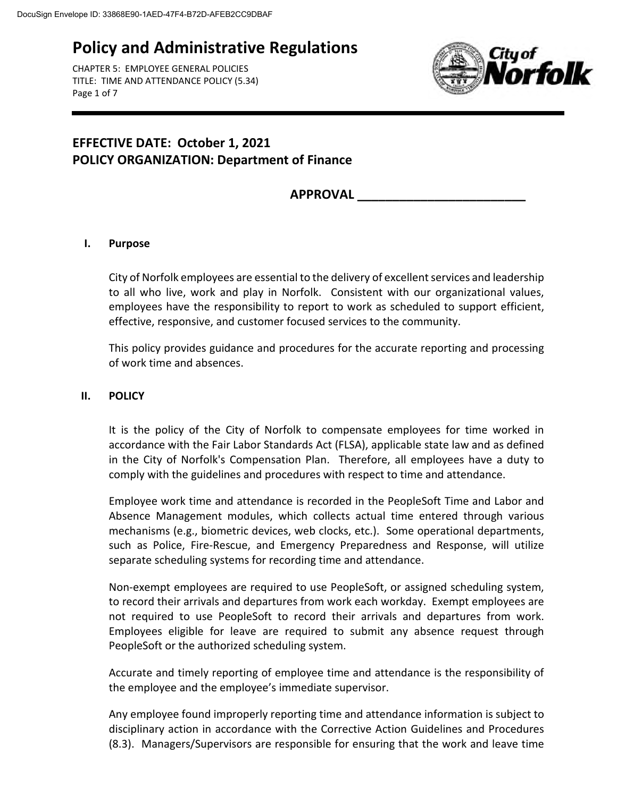CHAPTER 5: EMPLOYEE GENERAL POLICIES TITLE: TIME AND ATTENDANCE POLICY (5.34) Page 1 of 7



## **EFFECTIVE DATE: October 1, 2021 POLICY ORGANIZATION: Department of Finance**

## **APPROVAL \_\_\_\_\_\_\_\_\_\_\_\_\_\_\_\_\_\_\_\_\_\_\_\_**

### **I. Purpose**

City of Norfolk employees are essential to the delivery of excellent services and leadership to all who live, work and play in Norfolk. Consistent with our organizational values, employees have the responsibility to report to work as scheduled to support efficient, effective, responsive, and customer focused services to the community.

This policy provides guidance and procedures for the accurate reporting and processing of work time and absences.

#### **II. POLICY**

It is the policy of the City of Norfolk to compensate employees for time worked in accordance with the Fair Labor Standards Act (FLSA), applicable state law and as defined in the City of Norfolk's Compensation Plan. Therefore, all employees have a duty to comply with the guidelines and procedures with respect to time and attendance.

Employee work time and attendance is recorded in the PeopleSoft Time and Labor and Absence Management modules, which collects actual time entered through various mechanisms (e.g., biometric devices, web clocks, etc.). Some operational departments, such as Police, Fire-Rescue, and Emergency Preparedness and Response, will utilize separate scheduling systems for recording time and attendance.

Non-exempt employees are required to use PeopleSoft, or assigned scheduling system, to record their arrivals and departures from work each workday. Exempt employees are not required to use PeopleSoft to record their arrivals and departures from work. Employees eligible for leave are required to submit any absence request through PeopleSoft or the authorized scheduling system.

Accurate and timely reporting of employee time and attendance is the responsibility of the employee and the employee's immediate supervisor.

Any employee found improperly reporting time and attendance information is subject to disciplinary action in accordance with the Corrective Action Guidelines and Procedures (8.3). Managers/Supervisors are responsible for ensuring that the work and leave time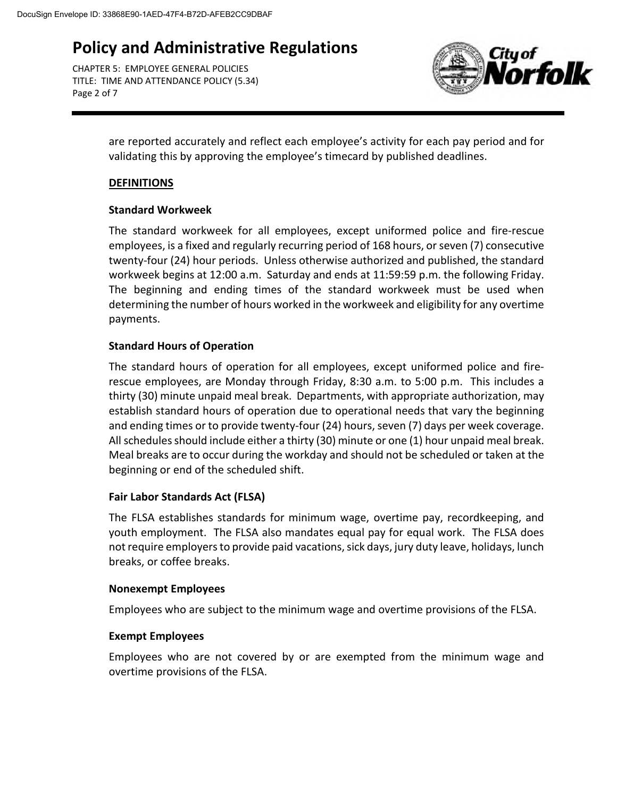CHAPTER 5: EMPLOYEE GENERAL POLICIES TITLE: TIME AND ATTENDANCE POLICY (5.34) Page 2 of 7



are reported accurately and reflect each employee's activity for each pay period and for validating this by approving the employee's timecard by published deadlines.

### **DEFINITIONS**

### **Standard Workweek**

The standard workweek for all employees, except uniformed police and fire-rescue employees, is a fixed and regularly recurring period of 168 hours, or seven (7) consecutive twenty-four (24) hour periods. Unless otherwise authorized and published, the standard workweek begins at 12:00 a.m. Saturday and ends at 11:59:59 p.m. the following Friday. The beginning and ending times of the standard workweek must be used when determining the number of hours worked in the workweek and eligibility for any overtime payments.

### **Standard Hours of Operation**

The standard hours of operation for all employees, except uniformed police and firerescue employees, are Monday through Friday, 8:30 a.m. to 5:00 p.m. This includes a thirty (30) minute unpaid meal break. Departments, with appropriate authorization, may establish standard hours of operation due to operational needs that vary the beginning and ending times or to provide twenty-four (24) hours, seven (7) days per week coverage. All schedules should include either a thirty (30) minute or one (1) hour unpaid meal break. Meal breaks are to occur during the workday and should not be scheduled or taken at the beginning or end of the scheduled shift.

### **Fair Labor Standards Act (FLSA)**

The FLSA establishes standards for minimum wage, overtime pay, recordkeeping, and youth employment. The FLSA also mandates equal pay for equal work. The FLSA does not require employers to provide paid vacations, sick days, jury duty leave, holidays, lunch breaks, or coffee breaks.

### **Nonexempt Employees**

Employees who are subject to the minimum wage and overtime provisions of the FLSA.

### **Exempt Employees**

Employees who are not covered by or are exempted from the minimum wage and overtime provisions of the FLSA.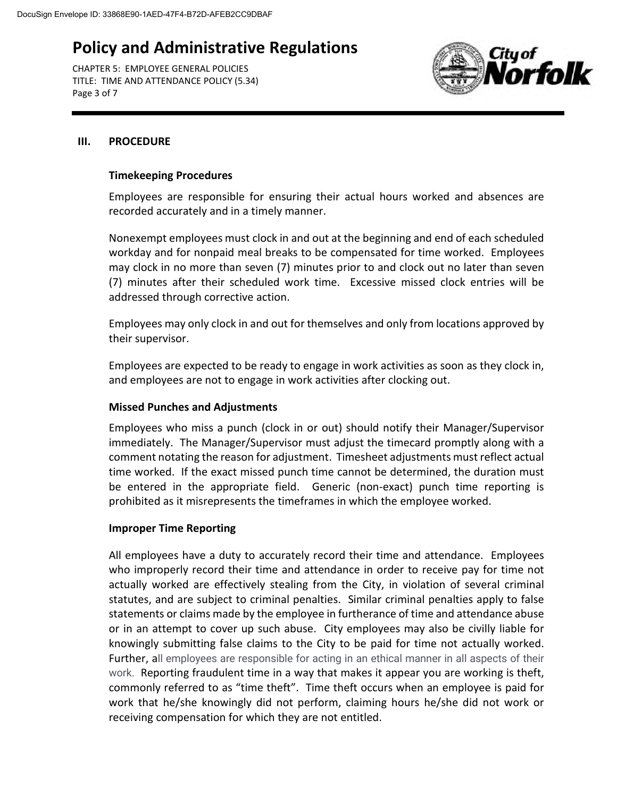CHAPTER 5: EMPLOYEE GENERAL POLICIES TITLE: TIME AND ATTENDANCE POLICY (5.34) Page 3 of 7



#### **III. PROCEDURE**

#### **Timekeeping Procedures**

Employees are responsible for ensuring their actual hours worked and absences are recorded accurately and in a timely manner.

Nonexempt employees must clock in and out at the beginning and end of each scheduled workday and for nonpaid meal breaks to be compensated for time worked. Employees may clock in no more than seven (7) minutes prior to and clock out no later than seven (7) minutes after their scheduled work time. Excessive missed clock entries will be addressed through corrective action.

Employees may only clock in and out for themselves and only from locations approved by their supervisor.

Employees are expected to be ready to engage in work activities as soon as they clock in, and employees are not to engage in work activities after clocking out.

### **Missed Punches and Adjustments**

Employees who miss a punch (clock in or out) should notify their Manager/Supervisor immediately. The Manager/Supervisor must adjust the timecard promptly along with a comment notating the reason for adjustment. Timesheet adjustments must reflect actual time worked. If the exact missed punch time cannot be determined, the duration must be entered in the appropriate field. Generic (non-exact) punch time reporting is prohibited as it misrepresents the timeframes in which the employee worked.

#### **Improper Time Reporting**

All employees have a duty to accurately record their time and attendance. Employees who improperly record their time and attendance in order to receive pay for time not actually worked are effectively stealing from the City, in violation of several criminal statutes, and are subject to criminal penalties. Similar criminal penalties apply to false statements or claims made by the employee in furtherance of time and attendance abuse or in an attempt to cover up such abuse. City employees may also be civilly liable for knowingly submitting false claims to the City to be paid for time not actually worked. Further, all employees are responsible for acting in an ethical manner in all aspects of their work. Reporting fraudulent time in a way that makes it appear you are working is theft, commonly referred to as "time theft". Time theft occurs when an employee is paid for work that he/she knowingly did not perform, claiming hours he/she did not work or receiving compensation for which they are not entitled.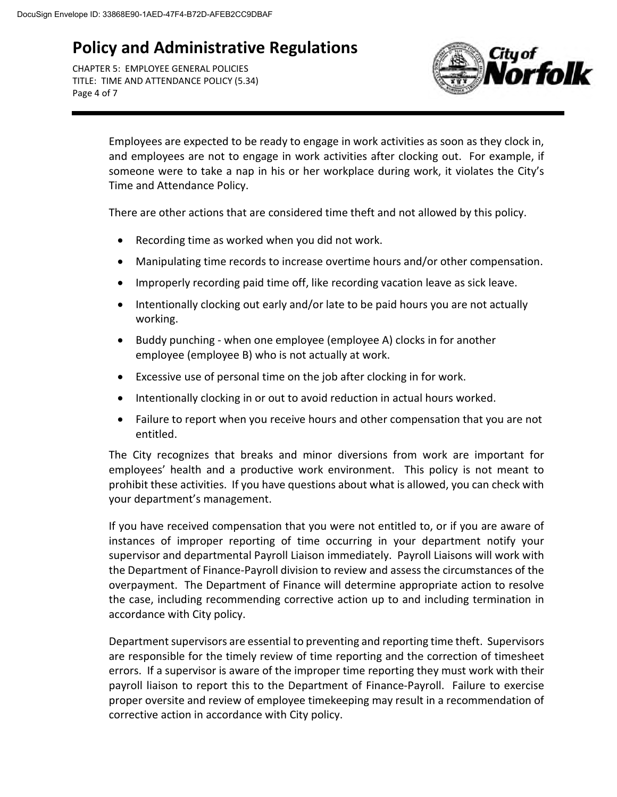CHAPTER 5: EMPLOYEE GENERAL POLICIES TITLE: TIME AND ATTENDANCE POLICY (5.34) Page 4 of 7



Employees are expected to be ready to engage in work activities as soon as they clock in, and employees are not to engage in work activities after clocking out. For example, if someone were to take a nap in his or her workplace during work, it violates the City's Time and Attendance Policy.

There are other actions that are considered time theft and not allowed by this policy.

- Recording time as worked when you did not work.
- Manipulating time records to increase overtime hours and/or other compensation.
- Improperly recording paid time off, like recording vacation leave as sick leave.
- Intentionally clocking out early and/or late to be paid hours you are not actually working.
- Buddy punching when one employee (employee A) clocks in for another employee (employee B) who is not actually at work.
- Excessive use of personal time on the job after clocking in for work.
- Intentionally clocking in or out to avoid reduction in actual hours worked.
- Failure to report when you receive hours and other compensation that you are not entitled.

The City recognizes that breaks and minor diversions from work are important for employees' health and a productive work environment. This policy is not meant to prohibit these activities. If you have questions about what is allowed, you can check with your department's management.

If you have received compensation that you were not entitled to, or if you are aware of instances of improper reporting of time occurring in your department notify your supervisor and departmental Payroll Liaison immediately. Payroll Liaisons will work with the Department of Finance-Payroll division to review and assess the circumstances of the overpayment. The Department of Finance will determine appropriate action to resolve the case, including recommending corrective action up to and including termination in accordance with City policy.

Department supervisors are essential to preventing and reporting time theft. Supervisors are responsible for the timely review of time reporting and the correction of timesheet errors. If a supervisor is aware of the improper time reporting they must work with their payroll liaison to report this to the Department of Finance-Payroll. Failure to exercise proper oversite and review of employee timekeeping may result in a recommendation of corrective action in accordance with City policy.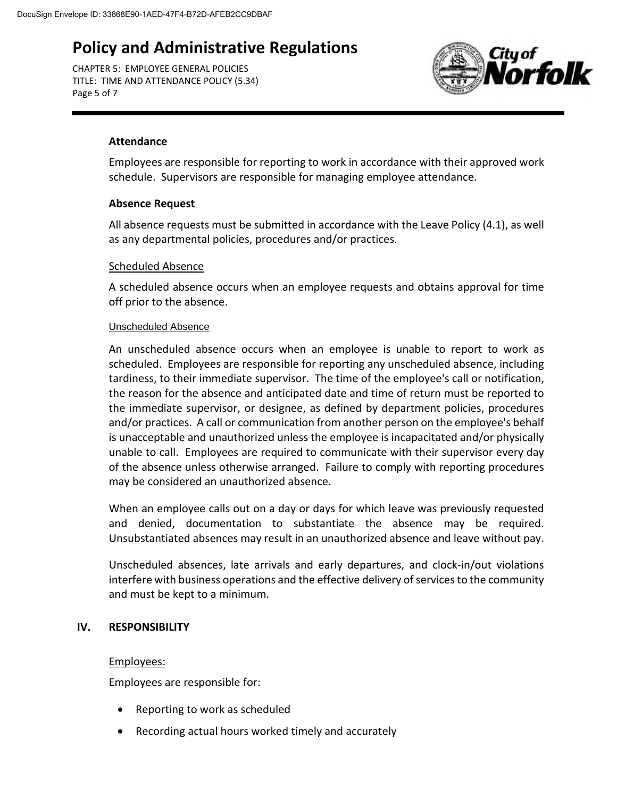CHAPTER 5: EMPLOYEE GENERAL POLICIES TITLE: TIME AND ATTENDANCE POLICY (5.34) Page 5 of 7



### **Attendance**

Employees are responsible for reporting to work in accordance with their approved work schedule. Supervisors are responsible for managing employee attendance.

### **Absence Request**

All absence requests must be submitted in accordance with the Leave Policy (4.1), as well as any departmental policies, procedures and/or practices.

#### Scheduled Absence

A scheduled absence occurs when an employee requests and obtains approval for time off prior to the absence.

#### Unscheduled Absence

An unscheduled absence occurs when an employee is unable to report to work as scheduled. Employees are responsible for reporting any unscheduled absence, including tardiness, to their immediate supervisor. The time of the employee's call or notification, the reason for the absence and anticipated date and time of return must be reported to the immediate supervisor, or designee, as defined by department policies, procedures and/or practices. A call or communication from another person on the employee's behalf is unacceptable and unauthorized unless the employee is incapacitated and/or physically unable to call. Employees are required to communicate with their supervisor every day of the absence unless otherwise arranged. Failure to comply with reporting procedures may be considered an unauthorized absence.

When an employee calls out on a day or days for which leave was previously requested and denied, documentation to substantiate the absence may be required. Unsubstantiated absences may result in an unauthorized absence and leave without pay.

Unscheduled absences, late arrivals and early departures, and clock-in/out violations interfere with business operations and the effective delivery of services to the community and must be kept to a minimum.

### **IV. RESPONSIBILITY**

### Employees:

Employees are responsible for:

- Reporting to work as scheduled
- Recording actual hours worked timely and accurately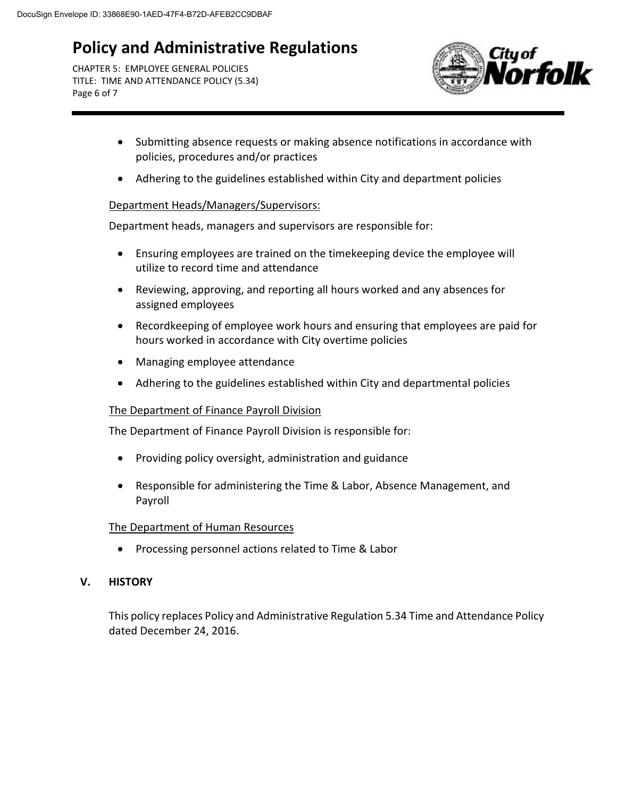CHAPTER 5: EMPLOYEE GENERAL POLICIES TITLE: TIME AND ATTENDANCE POLICY (5.34) Page 6 of 7



- Submitting absence requests or making absence notifications in accordance with policies, procedures and/or practices
- Adhering to the guidelines established within City and department policies

### Department Heads/Managers/Supervisors:

Department heads, managers and supervisors are responsible for:

- Ensuring employees are trained on the timekeeping device the employee will utilize to record time and attendance
- Reviewing, approving, and reporting all hours worked and any absences for assigned employees
- Recordkeeping of employee work hours and ensuring that employees are paid for hours worked in accordance with City overtime policies
- Managing employee attendance
- Adhering to the guidelines established within City and departmental policies

### The Department of Finance Payroll Division

The Department of Finance Payroll Division is responsible for:

- Providing policy oversight, administration and guidance
- Responsible for administering the Time & Labor, Absence Management, and Payroll

### The Department of Human Resources

• Processing personnel actions related to Time & Labor

### **V. HISTORY**

This policy replaces Policy and Administrative Regulation 5.34 Time and Attendance Policy dated December 24, 2016.